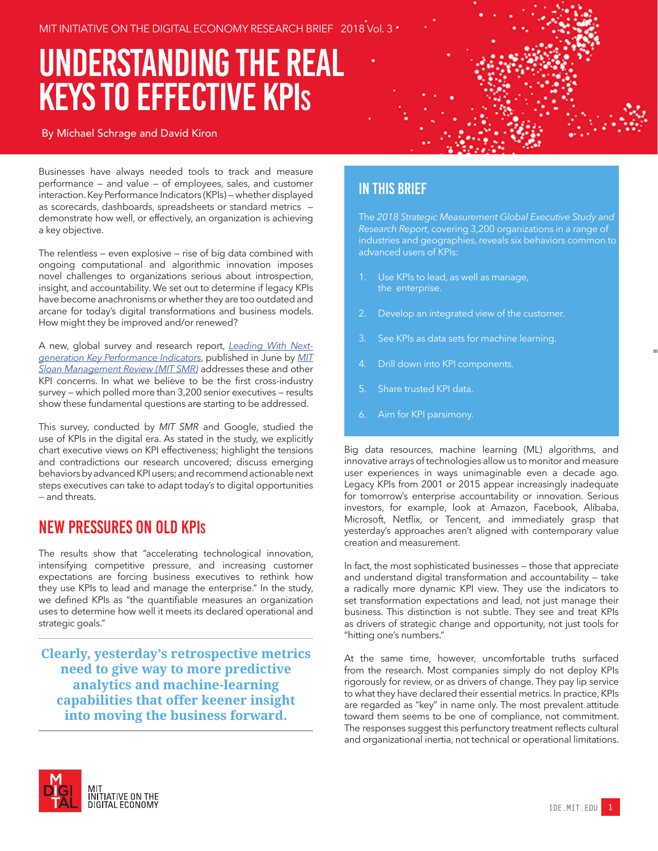# Understanding The Real Keys To Effective KPis

#### By Michael Schrage and David Kiron

Businesses have always needed tools to track and measure performance — and value — of employees, sales, and customer interaction. Key Performance Indicators (KPIs) — whether displayed as scorecards, dashboards, spreadsheets or standard metrics demonstrate how well, or effectively, an organization is achieving a key objective.

The relentless — even explosive — rise of big data combined with ongoing computational and algorithmic innovation imposes novel challenges to organizations serious about introspection, insight, and accountability. We set out to determine if legacy KPIs have become anachronisms or whether they are too outdated and arcane for today's digital transformations and business models. How might they be improved and/or renewed?

A new, global survey and research report, *[Leading With Next](https://mitsmr.com/2M4YWrD)[generation Key Performance Indicators](https://mitsmr.com/2M4YWrD)*, published in June by *[MIT](https://sloanreview.mit.edu/)  [Sloan Management Review \(MIT SMR\)](https://sloanreview.mit.edu/)* addresses these and other KPI concerns. In what we believe to be the first cross-industry survey — which polled more than 3,200 senior executives — results show these fundamental questions are starting to be addressed.

This survey, conducted by *MIT SMR* and Google, studied the use of KPIs in the digital era. As stated in the study, we explicitly chart executive views on KPI effectiveness; highlight the tensions and contradictions our research uncovered; discuss emerging behaviors by advanced KPI users; and recommend actionable next steps executives can take to adapt today's to digital opportunities — and threats.

### New Pressures on Old KPIs

The results show that "accelerating technological innovation, intensifying competitive pressure, and increasing customer expectations are forcing business executives to rethink how they use KPIs to lead and manage the enterprise." In the study, we defined KPIs as "the quantifiable measures an organization uses to determine how well it meets its declared operational and strategic goals."

**Clearly, yesterday's retrospective metrics need to give way to more predictive analytics and machine-learning capabilities that offer keener insight into moving the business forward.**



#### In this Brief

The *2018 Strategic Measurement Global Executive Study and Research Report*, covering 3,200 organizations in a range of industries and geographies, reveals six behaviors common to advanced users of KPIs:

- Use KPIs to lead, as well as manage, the enterprise.
- 2. Develop an integrated view of the customer.
- 3. See KPIs as data sets for machine learning.
- 4. Drill down into KPI components.
- Share trusted KPI data.
- Aim for KPI parsimony.

Big data resources, machine learning (ML) algorithms, and innovative arrays of technologies allow us to monitor and measure user experiences in ways unimaginable even a decade ago. Legacy KPIs from 2001 or 2015 appear increasingly inadequate for tomorrow's enterprise accountability or innovation. Serious investors, for example, look at Amazon, Facebook, Alibaba, Microsoft, Netflix, or Tencent, and immediately grasp that yesterday's approaches aren't aligned with contemporary value creation and measurement.

In fact, the most sophisticated businesses — those that appreciate and understand digital transformation and accountability — take a radically more dynamic KPI view. They use the indicators to set transformation expectations and lead, not just manage their business. This distinction is not subtle. They see and treat KPIs as drivers of strategic change and opportunity, not just tools for "hitting one's numbers."

At the same time, however, uncomfortable truths surfaced from the research. Most companies simply do not deploy KPIs rigorously for review, or as drivers of change. They pay lip service to what they have declared their essential metrics. In practice, KPIs are regarded as "key" in name only. The most prevalent attitude toward them seems to be one of compliance, not commitment. The responses suggest this perfunctory treatment reflects cultural and organizational inertia, not technical or operational limitations.

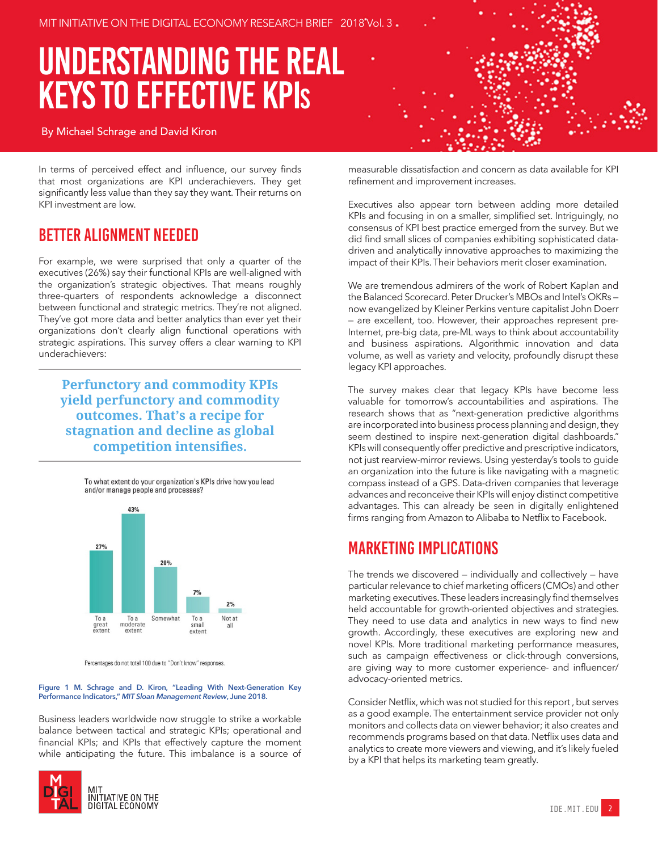# Understanding The Real Keys To Effective KPis

#### By Michael Schrage and David Kiron

In terms of perceived effect and influence, our survey finds that most organizations are KPI underachievers. They get significantly less value than they say they want. Their returns on KPI investment are low.

#### Better Alignment Needed

For example, we were surprised that only a quarter of the executives (26%) say their functional KPIs are well-aligned with the organization's strategic objectives. That means roughly three-quarters of respondents acknowledge a disconnect between functional and strategic metrics. They're not aligned. They've got more data and better analytics than ever yet their organizations don't clearly align functional operations with strategic aspirations. This survey offers a clear warning to KPI underachievers:

**Perfunctory and commodity KPIs yield perfunctory and commodity outcomes. That's a recipe for stagnation and decline as global competition intensifies.**



Percentages do not total 100 due to "Don't know" responses

#### **Figure 1 M. Schrage and D. Kiron, "Leading With Next-Generation Key Performance Indicators,"** *MIT Sloan Management Review***, June 2018.**

Business leaders worldwide now struggle to strike a workable balance between tactical and strategic KPIs; operational and financial KPIs; and KPIs that effectively capture the moment while anticipating the future. This imbalance is a source of



measurable dissatisfaction and concern as data available for KPI refinement and improvement increases.

Executives also appear torn between adding more detailed KPIs and focusing in on a smaller, simplified set. Intriguingly, no consensus of KPI best practice emerged from the survey. But we did find small slices of companies exhibiting sophisticated datadriven and analytically innovative approaches to maximizing the impact of their KPIs. Their behaviors merit closer examination.

We are tremendous admirers of the work of Robert Kaplan and the Balanced Scorecard. Peter Drucker's MBOs and Intel's OKRs now evangelized by Kleiner Perkins venture capitalist John Doerr — are excellent, too. However, their approaches represent pre-Internet, pre-big data, pre-ML ways to think about accountability and business aspirations. Algorithmic innovation and data volume, as well as variety and velocity, profoundly disrupt these legacy KPI approaches.

The survey makes clear that legacy KPIs have become less valuable for tomorrow's accountabilities and aspirations. The research shows that as "next-generation predictive algorithms are incorporated into business process planning and design, they seem destined to inspire next-generation digital dashboards." KPIs will consequently offer predictive and prescriptive indicators, not just rearview-mirror reviews. Using yesterday's tools to guide an organization into the future is like navigating with a magnetic compass instead of a GPS. Data-driven companies that leverage advances and reconceive their KPIs will enjoy distinct competitive advantages. This can already be seen in digitally enlightened firms ranging from Amazon to Alibaba to Netflix to Facebook.

#### Marketing Implications

The trends we discovered — individually and collectively — have particular relevance to chief marketing officers (CMOs) and other marketing executives. These leaders increasingly find themselves held accountable for growth-oriented objectives and strategies. They need to use data and analytics in new ways to find new growth. Accordingly, these executives are exploring new and novel KPIs. More traditional marketing performance measures, such as campaign effectiveness or click-through conversions, are giving way to more customer experience- and influencer/ advocacy-oriented metrics.

Consider Netflix, which was not studied for this report , but serves as a good example. The entertainment service provider not only monitors and collects data on viewer behavior; it also creates and recommends programs based on that data. Netflix uses data and analytics to create more viewers and viewing, and it's likely fueled by a KPI that helps its marketing team greatly.